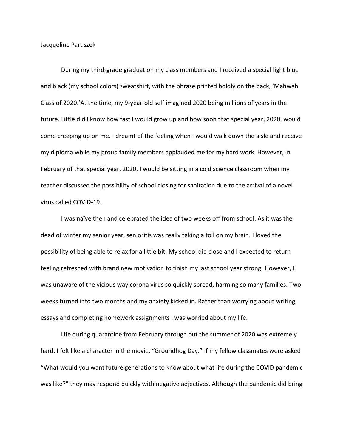Jacqueline Paruszek

During my third-grade graduation my class members and I received a special light blue and black (my school colors) sweatshirt, with the phrase printed boldly on the back, 'Mahwah Class of 2020.'At the time, my 9-year-old self imagined 2020 being millions of years in the future. Little did I know how fast I would grow up and how soon that special year, 2020, would come creeping up on me. I dreamt of the feeling when I would walk down the aisle and receive my diploma while my proud family members applauded me for my hard work. However, in February of that special year, 2020, I would be sitting in a cold science classroom when my teacher discussed the possibility of school closing for sanitation due to the arrival of a novel virus called COVID-19.

I was naïve then and celebrated the idea of two weeks off from school. As it was the dead of winter my senior year, senioritis was really taking a toll on my brain. I loved the possibility of being able to relax for a little bit. My school did close and I expected to return feeling refreshed with brand new motivation to finish my last school year strong. However, I was unaware of the vicious way corona virus so quickly spread, harming so many families. Two weeks turned into two months and my anxiety kicked in. Rather than worrying about writing essays and completing homework assignments I was worried about my life.

Life during quarantine from February through out the summer of 2020 was extremely hard. I felt like a character in the movie, "Groundhog Day." If my fellow classmates were asked "What would you want future generations to know about what life during the COVID pandemic was like?" they may respond quickly with negative adjectives. Although the pandemic did bring